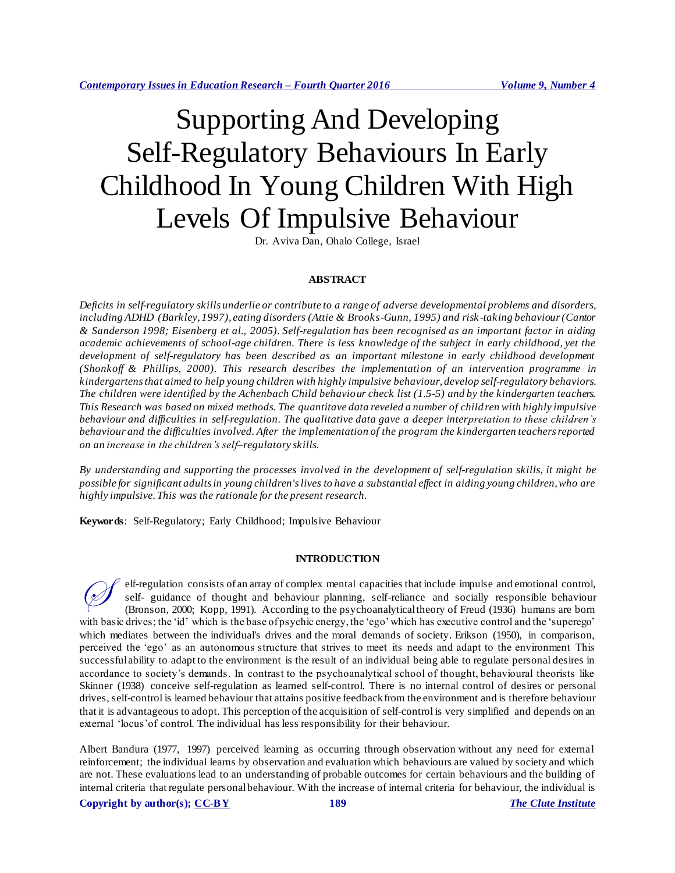# Supporting And Developing Self-Regulatory Behaviours In Early Childhood In Young Children With High Levels Of Impulsive Behaviour

Dr. Aviva Dan, Ohalo College, Israel

### **ABSTRACT**

*Deficits in self-regulatory skills underlie or contribute to a range of adverse developmental problems and disorders, including ADHD (Barkley, 1997), eating disorders (Attie & Brooks-Gunn, 1995) and risk -taking behaviour (Cantor & Sanderson 1998; Eisenberg et al., 2005). Self-regulation has been recognised as an important factor in aiding academic achievements of school-age children. There is less knowledge of the subject in early childhood, yet the development of self-regulatory has been described as an important milestone in early childhood development (Shonkoff & Phillips, 2000). This research describes the implementation of an intervention programme in kindergartens that aimed to help young children with highly impulsive behaviour, develop self-regulatory behaviors. The children were identified by the Achenbach Child behaviour check list (1.5-5) and by the kindergarten teachers. This Research was based on mixed methods. The quantitave data reveled a number of child ren with highly impulsive behaviour and difficulties in self-regulation. The qualitative data gave a deeper interpretation to these children's behaviour and the difficulties involved. After the implementation of the program the kindergarten teachers reported on an increase in the children's self–regulatory skills.* 

*By understanding and supporting the processes involved in the development of self-regulation skills, it might be possible for significant adults in young children's lives to have a substantial effect in aiding young children, who are highly impulsive. This was the rationale for the present research.*

**Keywords**: Self-Regulatory; Early Childhood; Impulsive Behaviour

### **INTRODUCTION**

elf-regulation consists of an array of complex mental capacities that include impulse and emotional control, self- guidance of thought and behaviour planning, self-reliance and socially responsible behaviour (Bronson, 2000; Kopp, 1991). According to the psychoanalytical theory of Freud (1936) humans are born with basic drives; the 'id' which is the base of psychic energy, the 'ego' which has executive control and the 'superego' which mediates between the individual's drives and the moral demands of society. Erikson (1950), in comparison, perceived the 'ego' as an autonomous structure that strives to meet its needs and adapt to the environment This successful ability to adapt to the environment is the result of an individual being able to regulate personal desires in accordance to society's demands. In contrast to the psychoanalytical school of thought, behavioural theorists like Skinner (1938) conceive self-regulation as learned self-control. There is no internal control of desires or personal drives, self-control is learned behaviour that attains positive feedback from the environment and is therefore behaviour that it is advantageous to adopt. This perception of the acquisition of self-control is very simplified and depends on an external 'locus'of control. The individual has less responsibility for their behaviour.  $\oslash$ 

Albert Bandura (1977, 1997) perceived learning as occurring through observation without any need for external reinforcement; the individual learns by observation and evaluation which behaviours are valued by society and which are not. These evaluations lead to an understanding of probable outcomes for certain behaviours and the building of internal criteria that regulate personal behaviour. With the increase of internal criteria for behaviour, the individual is

**Copyright by author(s); [CC-BY](http://creativecommons.org/licenses/by/3.0/) 189** *[The Clute Institute](http://www.cluteinstitute.com/)*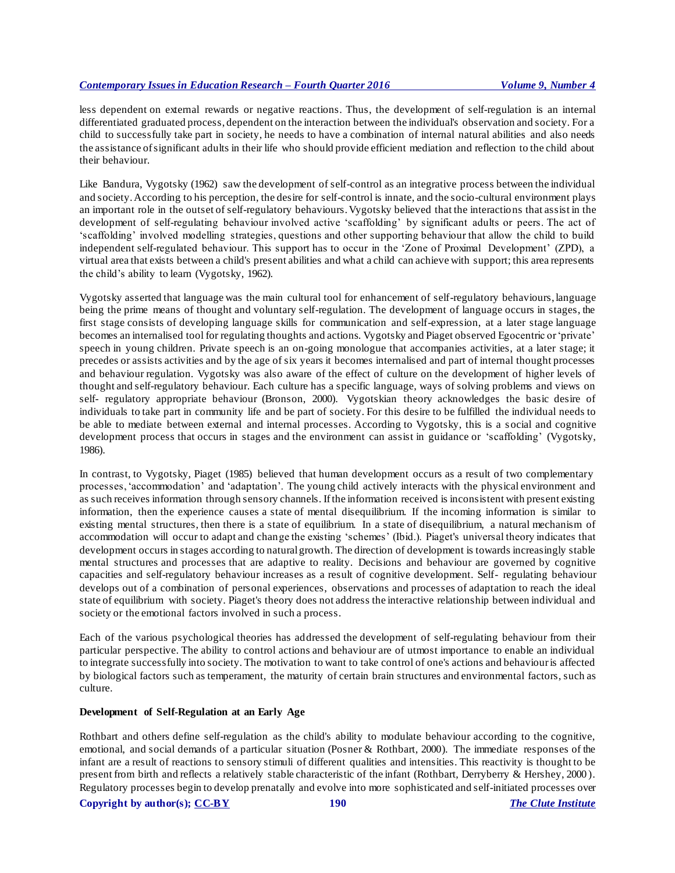less dependent on external rewards or negative reactions. Thus, the development of self-regulation is an internal differentiated graduated process, dependent on the interaction between the individual's observation and society. For a child to successfully take part in society, he needs to have a combination of internal natural abilities and also needs the assistance of significant adults in their life who should provide efficient mediation and reflection to the child about their behaviour.

Like Bandura, Vygotsky (1962) saw the development of self-control as an integrative process between the individual and society. According to his perception, the desire for self-control is innate, and the socio-cultural environment plays an important role in the outset of self-regulatory behaviours. Vygotsky believed that the interactions that assist in the development of self-regulating behaviour involved active 'scaffolding' by significant adults or peers. The act of 'scaffolding' involved modelling strategies, questions and other supporting behaviour that allow the child to build independent self-regulated behaviour. This support has to occur in the 'Zone of Proximal Development' (ZPD), a virtual area that exists between a child's present abilities and what a child can achieve with support; this area represents the child's ability to learn (Vygotsky, 1962).

Vygotsky asserted that language was the main cultural tool for enhancement of self-regulatory behaviours, language being the prime means of thought and voluntary self-regulation. The development of language occurs in stages, the first stage consists of developing language skills for communication and self-expression, at a later stage language becomes an internalised tool for regulating thoughts and actions. Vygotsky and Piaget observed Egocentric or 'private' speech in young children. Private speech is an on-going monologue that accompanies activities, at a later stage; it precedes or assists activities and by the age of six years it becomes internalised and part of internal thought processes and behaviour regulation. Vygotsky was also aware of the effect of culture on the development of higher levels of thought and self-regulatory behaviour. Each culture has a specific language, ways of solving problems and views on self- regulatory appropriate behaviour (Bronson, 2000). Vygotskian theory acknowledges the basic desire of individuals to take part in community life and be part of society. For this desire to be fulfilled the individual needs to be able to mediate between external and internal processes. According to Vygotsky, this is a social and cognitive development process that occurs in stages and the environment can assist in guidance or 'scaffolding' (Vygotsky, 1986).

In contrast, to Vygotsky, Piaget (1985) believed that human development occurs as a result of two complementary processes, 'accommodation' and 'adaptation'. The young child actively interacts with the physical environment and as such receives information through sensory channels. If the information received is inconsistent with present existing information, then the experience causes a state of mental disequilibrium. If the incoming information is similar to existing mental structures, then there is a state of equilibrium. In a state of disequilibrium, a natural mechanism of accommodation will occur to adapt and change the existing 'schemes' (Ibid.). Piaget's universal theory indicates that development occurs in stages according to natural growth. The direction of development is towards increasingly stable mental structures and processes that are adaptive to reality. Decisions and behaviour are governed by cognitive capacities and self-regulatory behaviour increases as a result of cognitive development. Self- regulating behaviour develops out of a combination of personal experiences, observations and processes of adaptation to reach the ideal state of equilibrium with society. Piaget's theory does not address the interactive relationship between individual and society or the emotional factors involved in such a process.

Each of the various psychological theories has addressed the development of self-regulating behaviour from their particular perspective. The ability to control actions and behaviour are of utmost importance to enable an individual to integrate successfully into society. The motivation to want to take control of one's actions and behaviour is affected by biological factors such as temperament, the maturity of certain brain structures and environmental factors, such as culture.

### **Development of Self-Regulation at an Early Age**

Rothbart and others define self-regulation as the child's ability to modulate behaviour according to the cognitive, emotional, and social demands of a particular situation (Posner & Rothbart, 2000). The immediate responses of the infant are a result of reactions to sensory stimuli of different qualities and intensities. This reactivity is thought to be present from birth and reflects a relatively stable characteristic of the infant (Rothbart, Derryberry & Hershey, 2000 ). Regulatory processes begin to develop prenatally and evolve into more sophisticated and self-initiated processes over

**Copyright by author(s); [CC-BY](http://creativecommons.org/licenses/by/3.0/) 190** *[The Clute Institute](http://www.cluteinstitute.com/)*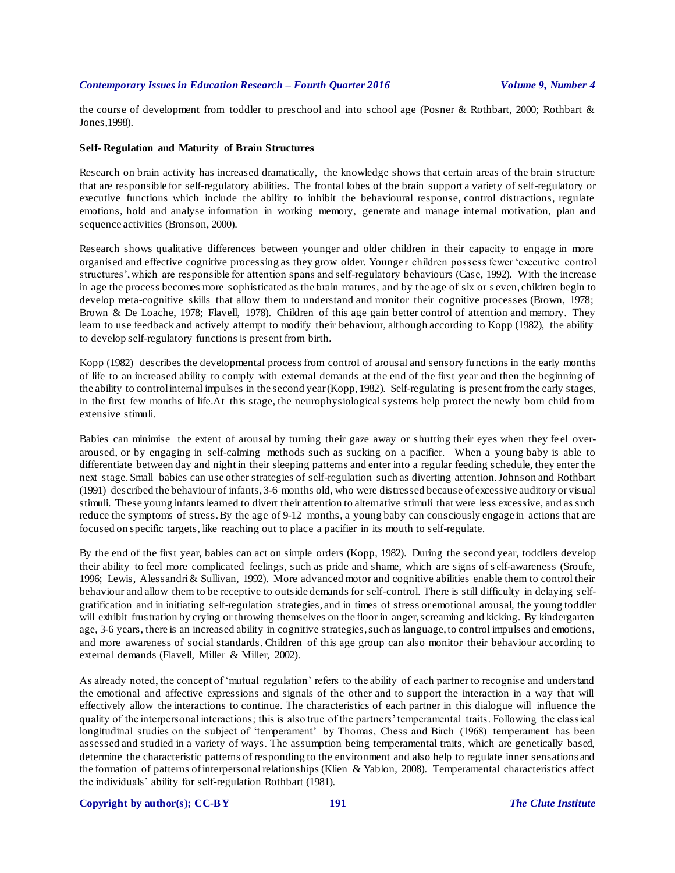the course of development from toddler to preschool and into school age (Posner & Rothbart, 2000; Rothbart & Jones,1998).

### **Self- Regulation and Maturity of Brain Structures**

Research on brain activity has increased dramatically, the knowledge shows that certain areas of the brain structure that are responsible for self-regulatory abilities. The frontal lobes of the brain support a variety of self-regulatory or executive functions which include the ability to inhibit the behavioural response, control distractions, regulate emotions, hold and analyse information in working memory, generate and manage internal motivation, plan and sequence activities (Bronson, 2000).

Research shows qualitative differences between younger and older children in their capacity to engage in more organised and effective cognitive processing as they grow older. Younger children possess fewer 'executive control structures', which are responsible for attention spans and self-regulatory behaviours (Case, 1992). With the increase in age the process becomes more sophisticated as the brain matures, and by the age of six or s even, children begin to develop meta-cognitive skills that allow them to understand and monitor their cognitive processes (Brown, 1978; Brown & De Loache, 1978; Flavell, 1978). Children of this age gain better control of attention and memory. They learn to use feedback and actively attempt to modify their behaviour, although according to Kopp (1982), the ability to develop self-regulatory functions is present from birth.

Kopp (1982) describes the developmental process from control of arousal and sensory fu nctions in the early months of life to an increased ability to comply with external demands at the end of the first year and then the beginning of the ability to control internal impulses in the second year (Kopp, 1982). Self-regulating is present from the early stages, in the first few months of life.At this stage, the neurophysiological systems help protect the newly born child from extensive stimuli.

Babies can minimise the extent of arousal by turning their gaze away or shutting their eyes when they feel overaroused, or by engaging in self-calming methods such as sucking on a pacifier. When a young baby is able to differentiate between day and night in their sleeping patterns and enter into a regular feeding schedule, they enter the next stage. Small babies can use other strategies of self-regulation such as diverting attention. Johnson and Rothbart (1991) described the behaviour of infants, 3-6 months old, who were distressed because of excessive auditory or visual stimuli. These young infants learned to divert their attention to alternative stimuli that were less excessive, and as such reduce the symptoms of stress. By the age of 9-12 months, a young baby can consciously engage in actions that are focused on specific targets, like reaching out to place a pacifier in its mouth to self-regulate.

By the end of the first year, babies can act on simple orders (Kopp, 1982). During the second year, toddlers develop their ability to feel more complicated feelings, such as pride and shame, which are signs of s elf-awareness (Sroufe, 1996; Lewis, Alessandri & Sullivan, 1992). More advanced motor and cognitive abilities enable them to control their behaviour and allow them to be receptive to outside demands for self-control. There is still difficulty in delaying s elfgratification and in initiating self-regulation strategies, and in times of stress or emotional arousal, the young toddler will exhibit frustration by crying or throwing themselves on the floor in anger, screaming and kicking. By kindergarten age, 3-6 years, there is an increased ability in cognitive strategies, such as language, to control impulses and emotions, and more awareness of social standards. Children of this age group can also monitor their behaviour according to external demands (Flavell, Miller & Miller, 2002).

As already noted, the concept of 'mutual regulation' refers to the ability of each partner to recognise and understand the emotional and affective expressions and signals of the other and to support the interaction in a way that will effectively allow the interactions to continue. The characteristics of each partner in this dialogue will influence the quality of the interpersonal interactions; this is also true of the partners' temperamental traits. Following the classical longitudinal studies on the subject of 'temperament' by Thomas, Chess and Birch (1968) temperament has been assessed and studied in a variety of ways. The assumption being temperamental traits, which are genetically based, determine the characteristic patterns of responding to the environment and also help to regulate inner sensations and the formation of patterns of interpersonal relationships (Klien & Yablon, 2008). Temperamental characteristics affect the individuals' ability for self-regulation Rothbart (1981).

### **Copyright by author(s); [CC-BY](http://creativecommons.org/licenses/by/3.0/) 191** *[The Clute Institute](http://www.cluteinstitute.com/)*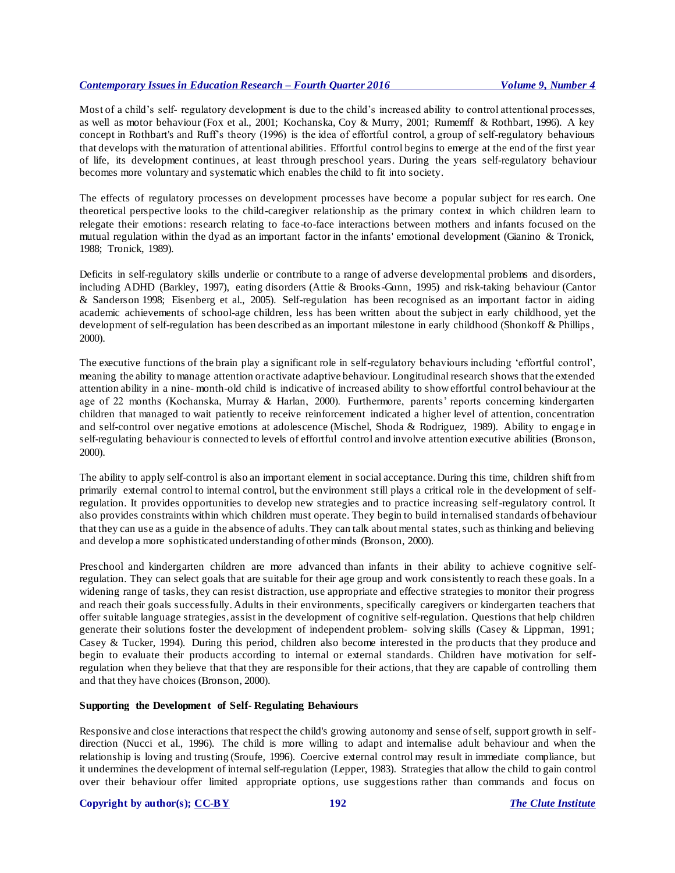Most of a child's self- regulatory development is due to the child's increased ability to control attentional processes, as well as motor behaviour (Fox et al., 2001; Kochanska, Coy & Murry, 2001; Rumemff & Rothbart, 1996). A key concept in Rothbart's and Ruff's theory (1996) is the idea of effortful control, a group of self-regulatory behaviours that develops with the maturation of attentional abilities. Effortful control begins to emerge at the end of the first year of life, its development continues, at least through preschool years. During the years self-regulatory behaviour becomes more voluntary and systematic which enables the child to fit into society.

The effects of regulatory processes on development processes have become a popular subject for res earch. One theoretical perspective looks to the child-caregiver relationship as the primary context in which children learn to relegate their emotions: research relating to face-to-face interactions between mothers and infants focused on the mutual regulation within the dyad as an important factor in the infants' emotional development (Gianino & Tronick, 1988; Tronick, 1989).

Deficits in self-regulatory skills underlie or contribute to a range of adverse developmental problems and disorders, including ADHD (Barkley, 1997), eating disorders (Attie & Brooks-Gunn, 1995) and risk-taking behaviour (Cantor & Sanderson 1998; Eisenberg et al., 2005). Self-regulation has been recognised as an important factor in aiding academic achievements of school-age children, less has been written about the subject in early childhood, yet the development of self-regulation has been described as an important milestone in early childhood (Shonkoff & Phillips , 2000).

The executive functions of the brain play a significant role in self-regulatory behaviours including 'effortful control', meaning the ability to manage attention or activate adaptive behaviour. Longitudinal research shows that the extended attention ability in a nine- month-old child is indicative of increased ability to show effortful control behaviour at the age of 22 months (Kochanska, Murray & Harlan, 2000). Furthermore, parents' reports concerning kindergarten children that managed to wait patiently to receive reinforcement indicated a higher level of attention, concentration and self-control over negative emotions at adolescence (Mischel, Shoda & Rodriguez, 1989). Ability to engag e in self-regulating behaviour is connected to levels of effortful control and involve attention executive abilities (Bronson, 2000).

The ability to apply self-control is also an important element in social acceptance. During this time, children shift from primarily external control to internal control, but the environment still plays a critical role in the development of selfregulation. It provides opportunities to develop new strategies and to practice increasing self-regulatory control. It also provides constraints within which children must operate. They begin to build in ternalised standards of behaviour that they can use as a guide in the absence of adults. They can talk about mental states, such as thinking and believing and develop a more sophisticated understanding of other minds (Bronson, 2000).

Preschool and kindergarten children are more advanced than infants in their ability to achieve cognitive selfregulation. They can select goals that are suitable for their age group and work consistently to reach these goals. In a widening range of tasks, they can resist distraction, use appropriate and effective strategies to monitor their progress and reach their goals successfully. Adults in their environments, specifically caregivers or kindergarten teachers that offer suitable language strategies, assist in the development of cognitive self-regulation. Questions that help children generate their solutions foster the development of independent problem- solving skills (Casey & Lippman, 1991; Casey & Tucker, 1994). During this period, children also become interested in the pro ducts that they produce and begin to evaluate their products according to internal or external standards. Children have motivation for selfregulation when they believe that that they are responsible for their actions, that they are capable of controlling them and that they have choices (Bronson, 2000).

### **Supporting the Development of Self- Regulating Behaviours**

Responsive and close interactions that respect the child's growing autonomy and sense of self, support growth in selfdirection (Nucci et al., 1996). The child is more willing to adapt and internalise adult behaviour and when the relationship is loving and trusting (Sroufe, 1996). Coercive external control may result in immediate compliance, but it undermines the development of internal self-regulation (Lepper, 1983). Strategies that allow the child to gain control over their behaviour offer limited appropriate options, use suggestions rather than commands and focus on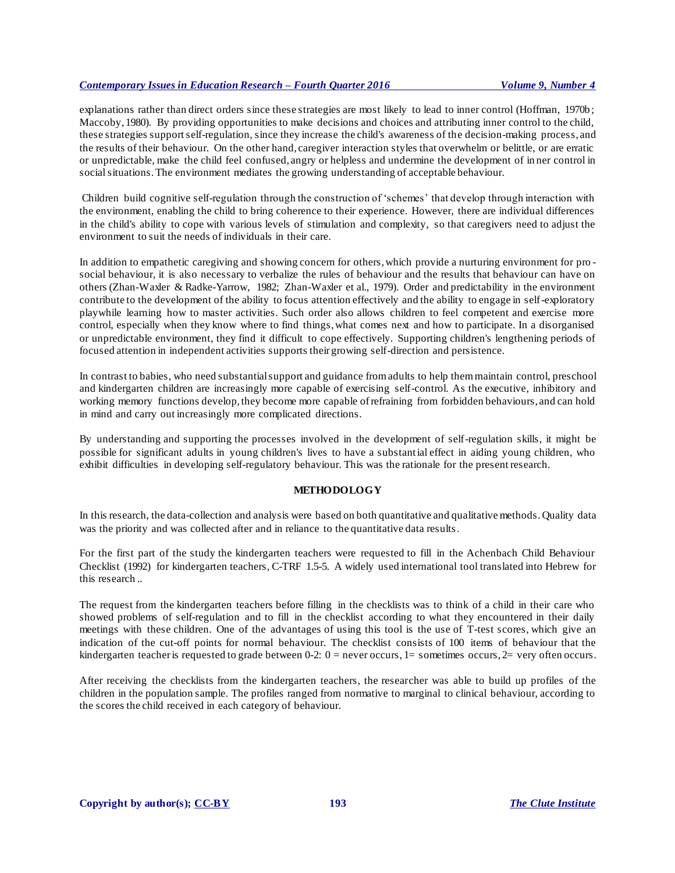explanations rather than direct orders since these strategies are most likely to lead to inner control (Hoffman, 1970b; Maccoby, 1980). By providing opportunities to make decisions and choices and attributing inner control to the child, these strategies support self-regulation, since they increase the child's awareness of the decision-making process, and the results of their behaviour. On the other hand, caregiver interaction styles that overwhelm or belittle, or are erratic or unpredictable, make the child feel confused, angry or helpless and undermine the development of in ner control in social situations. The environment mediates the growing understanding of acceptable behaviour.

Children build cognitive self-regulation through the construction of 'schemes' that develop through interaction with the environment, enabling the child to bring coherence to their experience. However, there are individual differences in the child's ability to cope with various levels of stimulation and complexity, so that caregivers need to adjust the environment to suit the needs of individuals in their care.

In addition to empathetic caregiving and showing concern for others, which provide a nurturing environment for pro social behaviour, it is also necessary to verbalize the rules of behaviour and the results that behaviour can have on others (Zhan-Waxler & Radke-Yarrow, 1982; Zhan-Waxler et al., 1979). Order and predictability in the environment contribute to the development of the ability to focus attention effectively and the ability to engage in self-exploratory playwhile learning how to master activities. Such order also allows children to feel competent and exercise more control, especially when they know where to find things, what comes next and how to participate. In a disorganised or unpredictable environment, they find it difficult to cope effectively. Supporting children's lengthening periods of focused attention in independent activities supports their growing self-direction and persistence.

In contrast to babies, who need substantial support and guidance from adults to help them maintain control, preschool and kindergarten children are increasingly more capable of exercising self-control. As the executive, inhibitory and working memory functions develop, they become more capable of refraining from forbidden behaviours, and can hold in mind and carry out increasingly more complicated directions.

By understanding and supporting the processes involved in the development of self-regulation skills, it might be possible for significant adults in young children's lives to have a substantial effect in aiding young children, who exhibit difficulties in developing self-regulatory behaviour. This was the rationale for the present research.

### **METHODOLOGY**

In this research, the data-collection and analysis were based on both quantitative and qualitative methods. Quality data was the priority and was collected after and in reliance to the quantitative data results.

For the first part of the study the kindergarten teachers were requested to fill in the Achenbach Child Behaviour Checklist (1992) for kindergarten teachers, C-TRF 1.5-5. A widely used international tool translated into Hebrew for this research ..

The request from the kindergarten teachers before filling in the checklists was to think of a child in their care who showed problems of self-regulation and to fill in the checklist according to what they encountered in their daily meetings with these children. One of the advantages of using this tool is the use of T-test scores, which give an indication of the cut-off points for normal behaviour. The checklist consists of 100 items of behaviour that the kindergarten teacher is requested to grade between 0-2: 0 = never occurs, 1 = sometimes occurs, 2 = very often occurs.

After receiving the checklists from the kindergarten teachers, the researcher was able to build up profiles of the children in the population sample. The profiles ranged from normative to marginal to clinical behaviour, according to the scores the child received in each category of behaviour.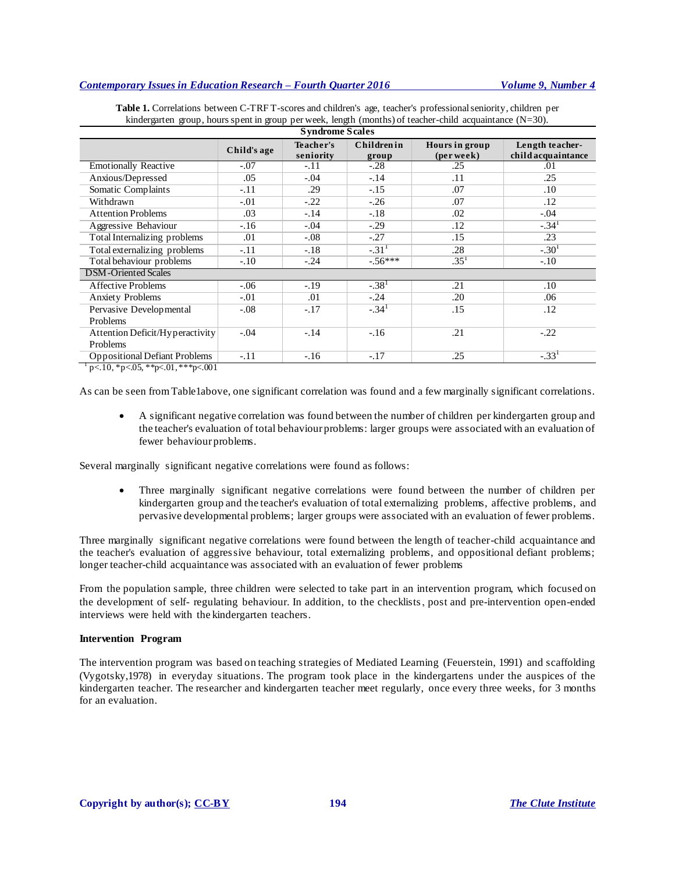| <b>Syndrome Scales</b>               |             |                        |                            |                              |                                       |
|--------------------------------------|-------------|------------------------|----------------------------|------------------------------|---------------------------------------|
|                                      | Child's age | Teacher's<br>seniority | <b>Childrenin</b><br>group | Hours in group<br>(per week) | Length teacher-<br>child acquaintance |
| <b>Emotionally Reactive</b>          | $-.07$      | $-.11$                 | $-.28$                     | .25                          | .01                                   |
| Anxious/Depressed                    | .05         | $-.04$                 | $-14$                      | .11                          | .25                                   |
| Somatic Complaints                   | $-.11$      | .29                    | $-.15$                     | .07                          | .10                                   |
| Withdrawn                            | $-.01$      | $-.22$                 | $-.26$                     | .07                          | .12                                   |
| <b>Attention Problems</b>            | .03         | $-.14$                 | $-.18$                     | .02                          | $-.04$                                |
| Aggressive Behaviour                 | $-.16$      | $-.04$                 | $-.29$                     | .12                          | $-.341$                               |
| <b>Total Internalizing problems</b>  | .01         | $-.08$                 | $-.27$                     | .15                          | .23                                   |
| Total externalizing problems         | $-.11$      | $-.18$                 | $-.311$                    | .28                          | $-.301$                               |
| Total behaviour problems             | $-.10$      | $-.24$                 | $-.56***$                  | .35 <sup>1</sup>             | $-.10$                                |
| <b>DSM-Oriented Scales</b>           |             |                        |                            |                              |                                       |
| <b>Affective Problems</b>            | $-.06$      | $-.19$                 | $-.381$                    | .21                          | .10                                   |
| <b>Anxiety Problems</b>              | $-.01$      | .01                    | $-.24$                     | .20                          | .06                                   |
| Pervasive Developmental              | $-.08$      | $-.17$                 | $-.341$                    | .15                          | .12                                   |
| Problems                             |             |                        |                            |                              |                                       |
| Attention Deficit/Hyperactivity      | $-.04$      | $-.14$                 | $-.16$                     | .21                          | $-.22$                                |
| Problems                             |             |                        |                            |                              |                                       |
| <b>Oppositional Defiant Problems</b> | $-.11$      | $-.16$                 | $-.17$                     | .25                          | $-33^{1}$                             |

**Table 1.** Correlations between C-TRF T-scores and children's age, teacher's professional seniority, children per kindergarten group, hours spent in group per week, length (months) of teacher-child acquaintance (N=30).

 $\frac{1}{1}$  p<.10, \*p<.05, \*\*p<.01, \*\*\*p<.001

As can be seen from Table1above, one significant correlation was found and a few marginally significant correlations.

 A significant negative correlation was found between the number of children per kindergarten group and the teacher's evaluation of total behaviour problems: larger groups were associated with an evaluation of fewer behaviour problems.

Several marginally significant negative correlations were found as follows:

 Three marginally significant negative correlations were found between the number of children per kindergarten group and the teacher's evaluation of total externalizing problems, affective problems, and pervasive developmental problems; larger groups were associated with an evaluation of fewer problems.

Three marginally significant negative correlations were found between the length of teacher-child acquaintance and the teacher's evaluation of aggressive behaviour, total externalizing problems, and oppositional defiant problems; longer teacher-child acquaintance was associated with an evaluation of fewer problems

From the population sample, three children were selected to take part in an intervention program, which focused on the development of self- regulating behaviour. In addition, to the checklists, post and pre-intervention open-ended interviews were held with the kindergarten teachers.

### **Intervention Program**

The intervention program was based on teaching strategies of Mediated Learning (Feuerstein, 1991) and scaffolding (Vygotsky,1978) in everyday situations. The program took place in the kindergartens under the auspices of the kindergarten teacher. The researcher and kindergarten teacher meet regularly, once every three weeks, for 3 months for an evaluation.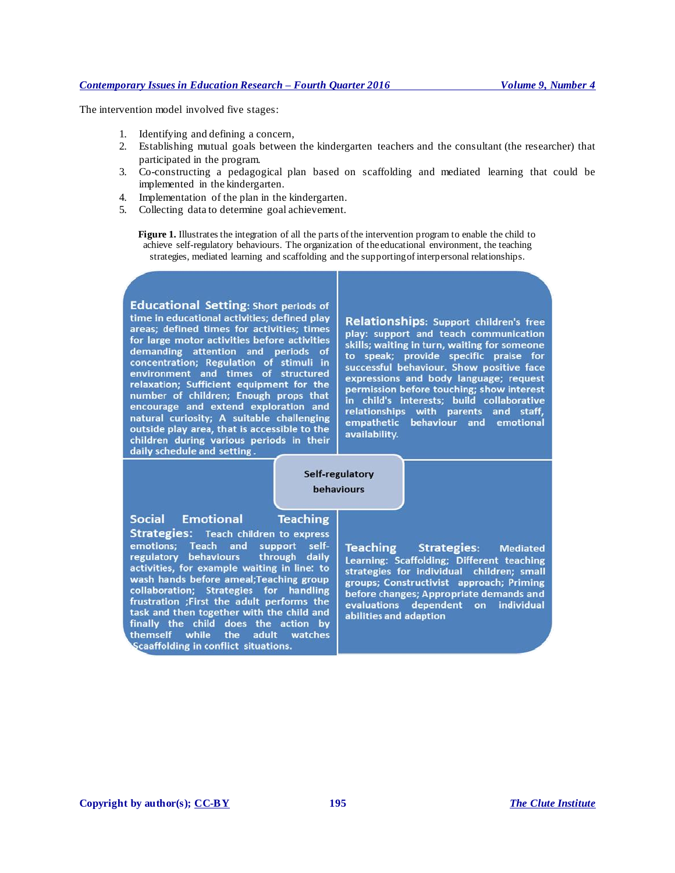The intervention model involved five stages:

- 1. Identifying and defining a concern,
- 2. Establishing mutual goals between the kindergarten teachers and the consultant (the researcher) that participated in the program.
- 3. Co-constructing a pedagogical plan based on scaffolding and mediated learning that could be implemented in the kindergarten.
- 4. Implementation of the plan in the kindergarten.
- 5. Collecting data to determine goal achievement.

**Figure 1.** Illustrates the integration of all the parts of the intervention program to enable the child to achieve self-regulatory behaviours. The organization of the educational environment, the teaching strategies, mediated learning and scaffolding and the supporting of interpersonal relationships.

**Educational Setting: Short periods of** time in educational activities; defined play areas; defined times for activities; times for large motor activities before activities demanding attention and periods of concentration; Regulation of stimuli in environment and times of structured relaxation; Sufficient equipment for the number of children; Enough props that encourage and extend exploration and natural curiosity; A suitable challenging outside play area, that is accessible to the children during various periods in their daily schedule and setting.

Relationships: Support children's free play: support and teach communication skills; waiting in turn, waiting for someone to speak; provide specific praise for<br>successful behaviour. Show positive face expressions and body language; request permission before touching; show interest<br>in child's interests; build collaborative relationships with parents and staff,<br>empathetic behaviour and emotional availability.

Self-regulatory behaviours

### **Social Emotional**

### **Teaching**

**Strategies:** Teach children to express emotions; Teach and support self-<br>regulatory behaviours through daily activities, for example waiting in line: to wash hands before ameal; Teaching group collaboration; Strategies for handling frustration ;First the adult performs the task and then together with the child and finally the child does the action by themself while the adult watches Scaaffolding in conflict situations.

**Teaching Strategies: Mediated** Learning: Scaffolding; Different teaching strategies for individual children; small groups; Constructivist approach; Priming before changes; Appropriate demands and evaluations dependent on individual abilities and adaption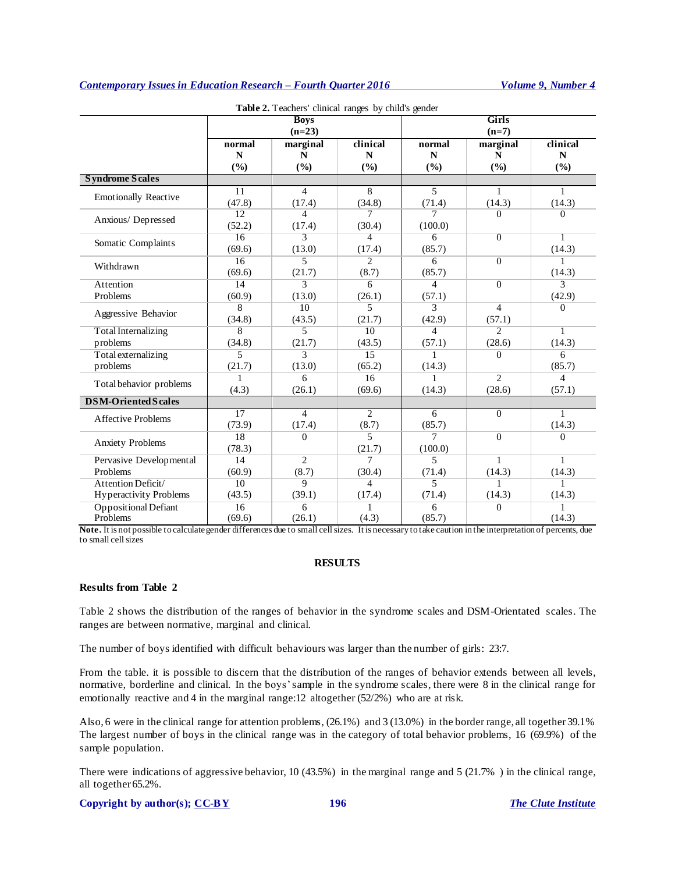|                               |                         | Table 2. Teachers' clinical ranges by child's gender |                |                |                |                |
|-------------------------------|-------------------------|------------------------------------------------------|----------------|----------------|----------------|----------------|
|                               | <b>Boys</b><br>$(n=23)$ |                                                      |                | Girls          |                |                |
|                               |                         |                                                      |                |                | $(n=7)$        |                |
|                               | normal                  | marginal                                             | clinical       | normal         | marginal       | clinical       |
|                               | N                       | N                                                    | N              | $\mathbf N$    | N              | N              |
|                               | (%)                     | (%)                                                  | (%)            | (%)            | (%)            | (%)            |
| <b>Syndrome Scales</b>        |                         |                                                      |                |                |                |                |
| <b>Emotionally Reactive</b>   | 11                      | 4                                                    | 8              | 5              | 1              | 1              |
|                               | (47.8)                  | (17.4)                                               | (34.8)         | (71.4)         | (14.3)         | (14.3)         |
| Anxious/Depressed             | 12                      | $\overline{4}$                                       | 7              | 7              | 0              | $\Omega$       |
|                               | (52.2)                  | (17.4)                                               | (30.4)         | (100.0)        |                |                |
| Somatic Complaints            | 16                      | $\overline{3}$                                       | $\overline{4}$ | 6              | $\overline{0}$ | 1              |
|                               | (69.6)                  | (13.0)                                               | (17.4)         | (85.7)         |                | (14.3)         |
| Withdrawn                     | 16                      | 5                                                    | $\overline{c}$ | 6              | $\Omega$       | 1              |
|                               | (69.6)                  | (21.7)                                               | (8.7)          | (85.7)         |                | (14.3)         |
| Attention                     | 14                      | 3                                                    | 6              | $\overline{4}$ | $\Omega$       | 3              |
| Problems                      | (60.9)                  | (13.0)                                               | (26.1)         | (57.1)         |                | (42.9)         |
| Aggressive Behavior           | 8                       | 10                                                   | 5              | 3              | $\overline{4}$ | $\Omega$       |
|                               | (34.8)                  | (43.5)                                               | (21.7)         | (42.9)         | (57.1)         |                |
| <b>Total Internalizing</b>    | 8                       | $\overline{5}$                                       | 10             | $\overline{4}$ | $\overline{2}$ | 1              |
| problems                      | (34.8)                  | (21.7)                                               | (43.5)         | (57.1)         | (28.6)         | (14.3)         |
| Total externalizing           | 5                       | 3                                                    | 15             | 1              | 0              | 6              |
| problems                      | (21.7)                  | (13.0)                                               | (65.2)         | (14.3)         |                | (85.7)         |
| Total behavior problems       | 1                       | 6                                                    | 16             |                | $\overline{2}$ | $\overline{4}$ |
|                               | (4.3)                   | (26.1)                                               | (69.6)         | (14.3)         | (28.6)         | (57.1)         |
| <b>DSM-Oriented Scales</b>    |                         |                                                      |                |                |                |                |
| <b>Affective Problems</b>     | 17                      | $\overline{4}$                                       | $\overline{2}$ | 6              | $\Omega$       | 1              |
|                               | (73.9)                  | (17.4)                                               | (8.7)          | (85.7)         |                | (14.3)         |
| <b>Anxiety Problems</b>       | 18                      | $\Omega$                                             | 5              | 7              | $\Omega$       | $\Omega$       |
|                               | (78.3)                  |                                                      | (21.7)         | (100.0)        |                |                |
| Pervasive Developmental       | 14                      | $\overline{2}$                                       | 7              | 5              | $\mathbf{1}$   | 1              |
| Problems                      | (60.9)                  | (8.7)                                                | (30.4)         | (71.4)         | (14.3)         | (14.3)         |
| Attention Deficit/            | $\overline{10}$         | $\overline{9}$                                       | $\overline{4}$ | 5              | 1              | 1              |
| <b>Hyperactivity Problems</b> | (43.5)                  | (39.1)                                               | (17.4)         | (71.4)         | (14.3)         | (14.3)         |
| Oppositional Defiant          | 16                      | 6                                                    | 1              | 6              | $\Omega$       | $\mathbf{1}$   |
| Problems                      | (69.6)                  | (26.1)                                               | (4.3)          | (85.7)         |                | (14.3)         |

Note. It is not possible to calculate gender differences due to small cell sizes. It is necessary to take caution in the interpretation of percents, due to small cell sizes

### **RESULTS**

### **Results from Table 2**

Table 2 shows the distribution of the ranges of behavior in the syndrome scales and DSM-Orientated scales. The ranges are between normative, marginal and clinical.

The number of boys identified with difficult behaviours was larger than the number of girls: 23:7.

From the table. it is possible to discern that the distribution of the ranges of behavior extends between all levels, normative, borderline and clinical. In the boys'sample in the syndrome scales, there were 8 in the clinical range for emotionally reactive and 4 in the marginal range:12 altogether (52/2%) who are at risk.

Also, 6 were in the clinical range for attention problems, (26.1%) and 3 (13.0%) in the border range, all together 39.1% The largest number of boys in the clinical range was in the category of total behavior problems, 16 (69.9%) of the sample population.

There were indications of aggressive behavior, 10 (43.5%) in the marginal range and 5 (21.7% ) in the clinical range, all together 65.2%.

### **Copyright by author(s); [CC-BY](http://creativecommons.org/licenses/by/3.0/) 196** *[The Clute Institute](http://www.cluteinstitute.com/)*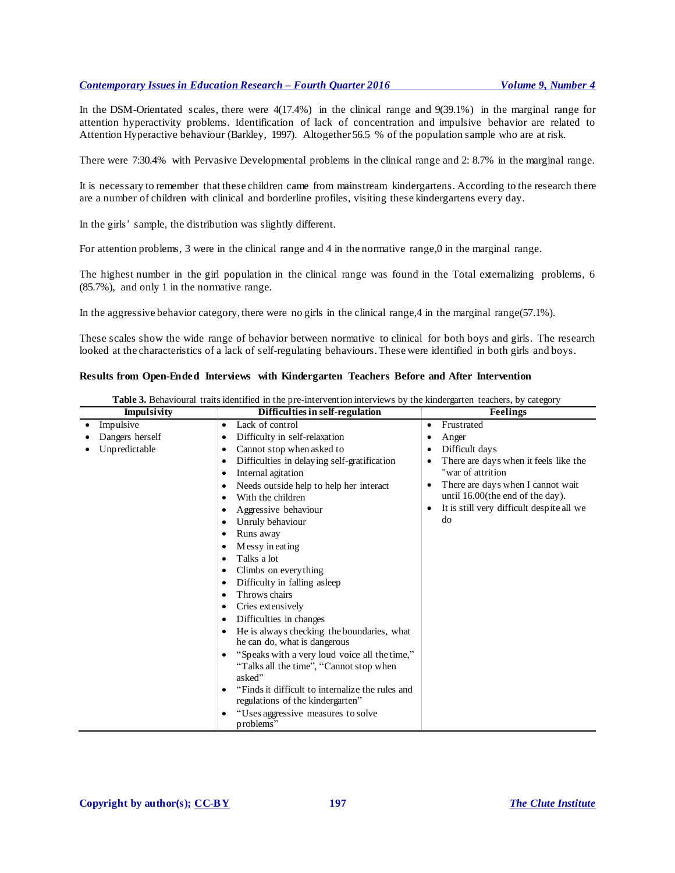In the DSM-Orientated scales, there were 4(17.4%) in the clinical range and 9(39.1%) in the marginal range for attention hyperactivity problems. Identification of lack of concentration and impulsive behavior are related to Attention Hyperactive behaviour (Barkley, 1997). Altogether 56.5 % of the population sample who are at risk.

There were 7:30.4% with Pervasive Developmental problems in the clinical range and 2: 8.7% in the marginal range.

It is necessary to remember that these children came from mainstream kindergartens. According to the research there are a number of children with clinical and borderline profiles, visiting these kindergartens every day.

In the girls' sample, the distribution was slightly different.

For attention problems, 3 were in the clinical range and 4 in the normative range,0 in the marginal range.

The highest number in the girl population in the clinical range was found in the Total externalizing problems, 6 (85.7%), and only 1 in the normative range.

In the aggressive behavior category, there were no girls in the clinical range, 4 in the marginal range(57.1%).

These scales show the wide range of behavior between normative to clinical for both boys and girls. The research looked at the characteristics of a lack of self-regulating behaviours. These were identified in both girls and boys.

### **Results from Open-Ended Interviews with Kindergarten Teachers Before and After Intervention**

| Impulsivity     | Difficulties in self-regulation                               | <b>Feelings</b>                                    |
|-----------------|---------------------------------------------------------------|----------------------------------------------------|
| Impulsive       | Lack of control<br>$\bullet$                                  | Frustrated<br>$\bullet$                            |
| Dangers herself | Difficulty in self-relaxation<br>٠                            | Anger<br>٠                                         |
| Unpredictable   | Cannot stop when asked to<br>٠                                | Difficult days<br>$\bullet$                        |
|                 | Difficulties in delaying self-gratification<br>٠              | There are days when it feels like the<br>$\bullet$ |
|                 | Internal agitation<br>٠                                       | "war of attrition                                  |
|                 | Needs outside help to help her interact                       | There are days when I cannot wait<br>$\bullet$     |
|                 | With the children<br>٠                                        | until 16.00(the end of the day).                   |
|                 | Aggressive behaviour<br>٠                                     | It is still very difficult despite all we<br>٠     |
|                 | Unruly behaviour<br>٠                                         | do                                                 |
|                 | Runs away<br>٠                                                |                                                    |
|                 | Messy in eating                                               |                                                    |
|                 | Talks a lot                                                   |                                                    |
|                 | Climbs on every thing<br>٠                                    |                                                    |
|                 | Difficulty in falling asleep                                  |                                                    |
|                 | Throws chairs<br>٠                                            |                                                    |
|                 | Cries extensively<br>٠                                        |                                                    |
|                 | Difficulties in changes<br>٠                                  |                                                    |
|                 | He is always checking the boundaries, what                    |                                                    |
|                 | he can do, what is dangerous                                  |                                                    |
|                 | "Speaks with a very loud voice all the time,"<br>٠            |                                                    |
|                 | "Talks all the time", "Cannot stop when                       |                                                    |
|                 | asked"                                                        |                                                    |
|                 | "Finds it difficult to internalize the rules and<br>$\bullet$ |                                                    |
|                 | regulations of the kindergarten"                              |                                                    |
|                 | "Uses aggressive measures to solve                            |                                                    |
|                 | problems"                                                     |                                                    |

**Table 3.** Behavioural traits identified in the pre-intervention interviews by the kindergarten teachers, by category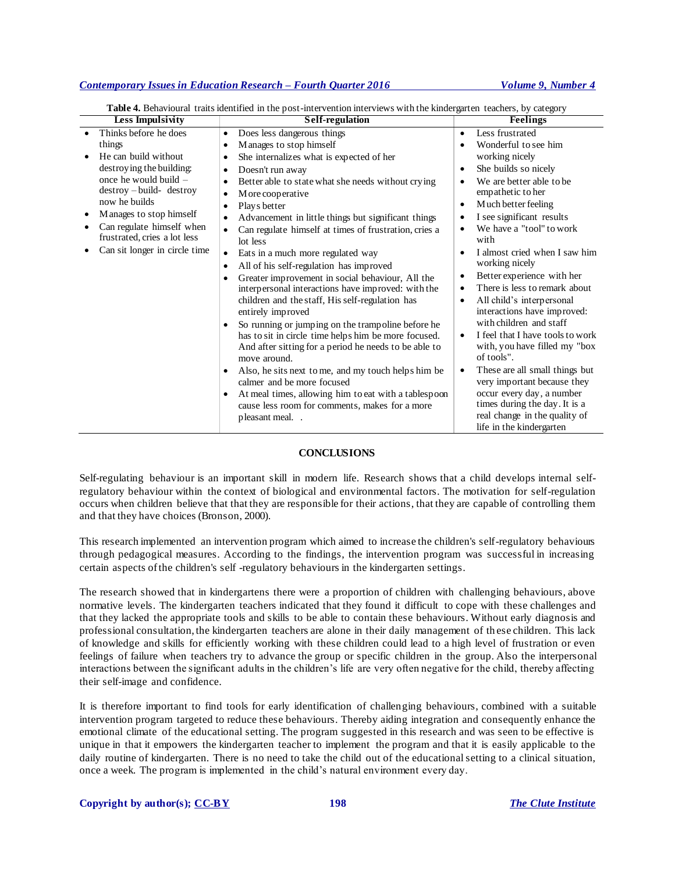| <b>Less Impulsivity</b>                                                                                                                                                                                                                                                                    | Self-regulation                                                                                                                                                                                                                                                                                                                                                                                                                                                                                                                                                                                                                                                                                                                                                                                                                                                                                                                                                                                                                                                                           | Feelings                                                                                                                                                                                                                                                                                                                                                                                                                                                                                                                                                                                                                                                                                                                     |
|--------------------------------------------------------------------------------------------------------------------------------------------------------------------------------------------------------------------------------------------------------------------------------------------|-------------------------------------------------------------------------------------------------------------------------------------------------------------------------------------------------------------------------------------------------------------------------------------------------------------------------------------------------------------------------------------------------------------------------------------------------------------------------------------------------------------------------------------------------------------------------------------------------------------------------------------------------------------------------------------------------------------------------------------------------------------------------------------------------------------------------------------------------------------------------------------------------------------------------------------------------------------------------------------------------------------------------------------------------------------------------------------------|------------------------------------------------------------------------------------------------------------------------------------------------------------------------------------------------------------------------------------------------------------------------------------------------------------------------------------------------------------------------------------------------------------------------------------------------------------------------------------------------------------------------------------------------------------------------------------------------------------------------------------------------------------------------------------------------------------------------------|
| Thinks before he does<br>things<br>He can build without<br>destroying the building:<br>once he would build –<br>$destroy - build - destroy$<br>now he builds<br>Manages to stop himself<br>٠<br>Can regulate himself when<br>frustrated, cries a lot less<br>Can sit longer in circle time | Does less dangerous things<br>٠<br>Manages to stop himself<br>٠<br>She internalizes what is expected of her<br>Doesn't run away<br>Better able to state what she needs without crying<br>M ore cooperative<br>$\bullet$<br>Plays better<br>٠<br>Advancement in little things but significant things<br>٠<br>Can regulate himself at times of frustration, cries a<br>$\bullet$<br>lot less<br>Eats in a much more regulated way<br>$\bullet$<br>All of his self-regulation has improved<br>٠<br>Greater improvement in social behaviour, All the<br>interpersonal interactions have improved: with the<br>children and the staff, His self-regulation has<br>entirely improved<br>So running or jumping on the trampoline before he<br>٠<br>has to sit in circle time helps him be more focused.<br>And after sitting for a period he needs to be able to<br>move around.<br>Also, he sits next to me, and my touch helps him be<br>calmer and be more focused<br>At meal times, allowing him to eat with a tablespoon<br>cause less room for comments, makes for a more<br>pleasant meal | Less frustrated<br>٠<br>Wonderful to see him<br>working nicely<br>She builds so nicely<br>٠<br>We are better able to be<br>empathetic to her<br>Much better feeling<br>I see significant results<br>We have a "tool" to work<br>with<br>I almost cried when I saw him<br>working nicely<br>Better experience with her<br>There is less to remark about<br>All child's interpersonal<br>interactions have improved:<br>with children and staff<br>I feel that I have tools to work<br>with, you have filled my "box<br>of tools".<br>These are all small things but<br>very important because they<br>occur every day, a number<br>times during the day. It is a<br>real change in the quality of<br>life in the kindergarten |

**Table 4.** Behavioural traits identified in the post-intervention interviews with the kindergarten teachers, by category

### **CONCLUSIONS**

Self-regulating behaviour is an important skill in modern life. Research shows that a child develops internal selfregulatory behaviour within the context of biological and environmental factors. The motivation for self-regulation occurs when children believe that that they are responsible for their actions, that they are capable of controlling them and that they have choices (Bronson, 2000).

This research implemented an intervention program which aimed to increase the children's self-regulatory behaviours through pedagogical measures. According to the findings, the intervention program was successful in increasing certain aspects of the children's self -regulatory behaviours in the kindergarten settings.

The research showed that in kindergartens there were a proportion of children with challenging behaviours, above normative levels. The kindergarten teachers indicated that they found it difficult to cope with these challenges and that they lacked the appropriate tools and skills to be able to contain these behaviours. Without early diagnosis and professional consultation, the kindergarten teachers are alone in their daily management of th ese children. This lack of knowledge and skills for efficiently working with these children could lead to a high level of frustration or even feelings of failure when teachers try to advance the group or specific children in the group. Also the interpersonal interactions between the significant adults in the children's life are very often negative for the child, thereby affecting their self-image and confidence.

It is therefore important to find tools for early identification of challenging behaviours, combined with a suitable intervention program targeted to reduce these behaviours. Thereby aiding integration and consequently enhance the emotional climate of the educational setting. The program suggested in this research and was seen to be effective is unique in that it empowers the kindergarten teacher to implement the program and that it is easily applicable to the daily routine of kindergarten. There is no need to take the child out of the educational setting to a clinical situation, once a week. The program is implemented in the child's natural environment every day.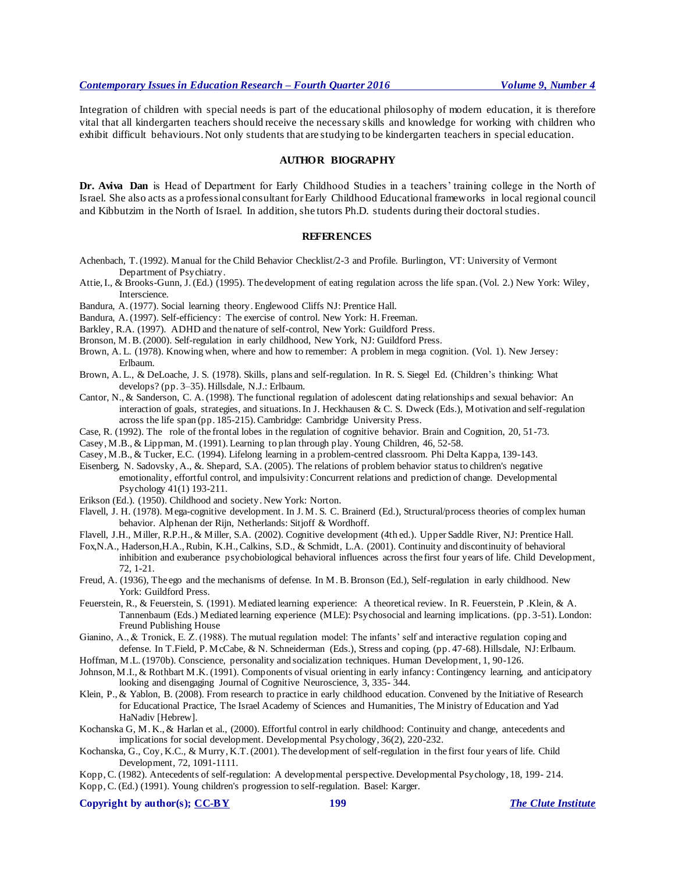Integration of children with special needs is part of the educational philosophy of modern education, it is therefore vital that all kindergarten teachers should receive the necessary skills and knowledge for working with children who exhibit difficult behaviours. Not only students that are studying to be kindergarten teachers in special education.

### **AUTHOR BIOGRAPHY**

**Dr. Aviva Dan** is Head of Department for Early Childhood Studies in a teachers' training college in the North of Israel. She also acts as a professional consultant for Early Childhood Educational frameworks in local regional council and Kibbutzim in the North of Israel. In addition, she tutors Ph.D. students during their doctoral studies.

### **REFERENCES**

- Achenbach, T. (1992). Manual for the Child Behavior Checklist/2-3 and Profile. Burlington, VT: University of Vermont Department of Psychiatry.
- Attie, I., & Brooks-Gunn, J. (Ed.) (1995). The development of eating regulation across the life span. (Vol. 2.) New York: Wiley, Interscience.
- Bandura, A. (1977). Social learning theory. Englewood Cliffs NJ: Prentice Hall.
- Bandura, A. (1997). Self-efficiency: The exercise of control. New York: H. Freeman.
- Barkley, R.A. (1997). ADHD and the nature of self-control, New York: Guildford Press.
- Bronson, M. B. (2000). Self-regulation in early childhood, New York, NJ: Guildford Press.
- Brown, A. L. (1978). Knowing when, where and how to remember: A problem in mega cognition. (Vol. 1). New Jersey: Erlbaum.
- Brown, A. L., & DeLoache, J. S. (1978). Skills, plans and self-regulation. In R. S. Siegel Ed. (Children's thinking: What develops? (pp. 3–35). Hillsdale, N.J.: Erlbaum.
- Cantor, N., & Sanderson, C. A. (1998). The functional regulation of adolescent dating relationships and sexual behavior: An interaction of goals, strategies, and situations. In J. Heckhausen & C. S. Dweck (Eds.), Motivation and self-regulation across the life span (pp. 185-215). Cambridge: Cambridge University Press.
- Case, R. (1992). The role of the frontal lobes in the regulation of cognitive behavior. Brain and Cognition, 20, 51-73.
- Casey, M.B., & Lippman, M. (1991). Learning to plan through play. Young Children, 46, 52-58.
- Casey, M.B., & Tucker, E.C. (1994). Lifelong learning in a problem-centred classroom. Phi Delta Kappa, 139-143.
- Eisenberg, N. Sadovsky, A., &. Shepard, S.A. (2005). The relations of problem behavior status to children's negative emotionality, effortful control, and impulsivity: Concurrent relations and prediction of change. Developmental Psychology 41(1) 193-211.
- Erikson (Ed.). (1950). Childhood and society. New York: Norton.
- Flavell, J. H. (1978). Mega-cognitive development. In J. M. S. C. Brainerd (Ed.), Structural/process theories of complex human behavior. Alphenan der Rijn, Netherlands: Sitjoff & Wordhoff.
- Flavell, J.H., Miller, R.P.H., & Miller, S.A. (2002). Cognitive development (4th ed.). Upper Saddle River, NJ: Prentice Hall.
- Fox,N.A., Haderson,H.A., Rubin, K.H., Calkins, S.D., & Schmidt, L.A. (2001). Continuity and discontinuity of behavioral inhibition and exuberance psychobiological behavioral influences across the first four years of life. Child Development, 72, 1-21.
- Freud, A. (1936), The ego and the mechanisms of defense. In M. B. Bronson (Ed.), Self-regulation in early childhood. New York: Guildford Press.
- Feuerstein, R., & Feuerstein, S. (1991). Mediated learning experience: A theoretical review. In R. Feuerstein, P .Klein, & A. Tannenbaum (Eds.) Mediated learning experience (MLE): Psychosocial and learning implications. (pp. 3-51). London: Freund Publishing House
- Gianino, A., & Tronick, E. Z. (1988). The mutual regulation model: The infants' self and interactive regulation coping and defense. In T.Field, P. McCabe, & N. Schneiderman (Eds.), Stress and coping. (pp. 47-68). Hillsdale, NJ: Erlbaum.
- Hoffman, M.L. (1970b). Conscience, personality and socialization techniques. Human Development, 1, 90-126.
- Johnson, M.I., & Rothbart M.K. (1991). Components of visual orienting in early infancy: Contingency learning, and anticipatory looking and disengaging Journal of Cognitive Neuroscience, 3, 335- 344.
- Klein, P., & Yablon, B. (2008). From research to practice in early childhood education. Convened by the Initiative of Research for Educational Practice, The Israel Academy of Sciences and Humanities, The Ministry of Education and Yad HaNadiv [Hebrew].
- Kochanska G, M. K., & Harlan et al., (2000). Effortful control in early childhood: Continuity and change, antecedents and implications for social development. Developmental Psychology, 36(2), 220-232.
- Kochanska, G., Coy, K.C., & Murry, K.T. (2001). The development of self-regulation in the first four years of life. Child Development, 72, 1091-1111.
- Kopp, C. (1982). Antecedents of self-regulation: A developmental perspective. Developmental Psychology, 18, 199- 214. Kopp, C. (Ed.) (1991). Young children's progression to self-regulation. Basel: Karger.

**Copyright by author(s); [CC-BY](http://creativecommons.org/licenses/by/3.0/) 199** *[The Clute Institute](http://www.cluteinstitute.com/)*